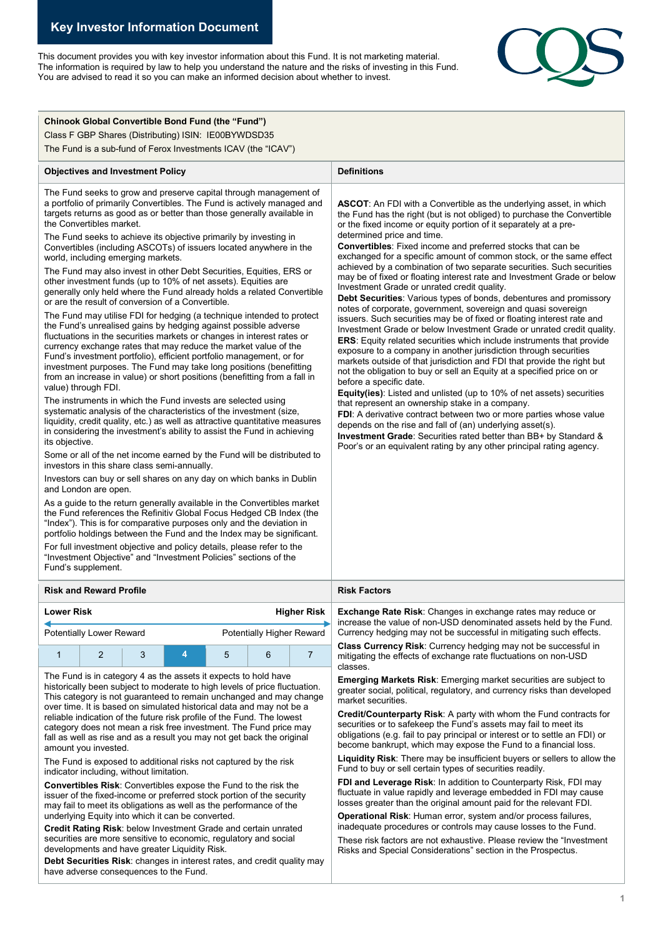This document provides you with key investor information about this Fund. It is not marketing material. The information is required by law to help you understand the nature and the risks of investing in this Fund. You are advised to read it so you can make an informed decision about whether to invest.



| <b>Chinook Global Convertible Bond Fund (the "Fund")</b><br>Class F GBP Shares (Distributing) ISIN: IE00BYWDSD35<br>The Fund is a sub-fund of Ferox Investments ICAV (the "ICAV")                                                                                                                                                                                                                                                                                                                                                                                                                                                                                                                                                                                                                                                                                                                                                                                                                                                                                                                                                                                                                                                                                                                                                                                                                                                                                                                                                                                                                                                                                                                                                                                                                                                                                                                                                                                                                                                                                                                                                                                                                                                                                           |                                                                                                                                                                                                                                                                                                                                                                                                                                                                                                                                                                                                                                                                                                                                                                                                                                                                                                                                                                                                                                                                                                                                                                                                                                                                                                                                                                                                                                                                                                                                                                                                                                                        |  |
|-----------------------------------------------------------------------------------------------------------------------------------------------------------------------------------------------------------------------------------------------------------------------------------------------------------------------------------------------------------------------------------------------------------------------------------------------------------------------------------------------------------------------------------------------------------------------------------------------------------------------------------------------------------------------------------------------------------------------------------------------------------------------------------------------------------------------------------------------------------------------------------------------------------------------------------------------------------------------------------------------------------------------------------------------------------------------------------------------------------------------------------------------------------------------------------------------------------------------------------------------------------------------------------------------------------------------------------------------------------------------------------------------------------------------------------------------------------------------------------------------------------------------------------------------------------------------------------------------------------------------------------------------------------------------------------------------------------------------------------------------------------------------------------------------------------------------------------------------------------------------------------------------------------------------------------------------------------------------------------------------------------------------------------------------------------------------------------------------------------------------------------------------------------------------------------------------------------------------------------------------------------------------------|--------------------------------------------------------------------------------------------------------------------------------------------------------------------------------------------------------------------------------------------------------------------------------------------------------------------------------------------------------------------------------------------------------------------------------------------------------------------------------------------------------------------------------------------------------------------------------------------------------------------------------------------------------------------------------------------------------------------------------------------------------------------------------------------------------------------------------------------------------------------------------------------------------------------------------------------------------------------------------------------------------------------------------------------------------------------------------------------------------------------------------------------------------------------------------------------------------------------------------------------------------------------------------------------------------------------------------------------------------------------------------------------------------------------------------------------------------------------------------------------------------------------------------------------------------------------------------------------------------------------------------------------------------|--|
| <b>Objectives and Investment Policy</b>                                                                                                                                                                                                                                                                                                                                                                                                                                                                                                                                                                                                                                                                                                                                                                                                                                                                                                                                                                                                                                                                                                                                                                                                                                                                                                                                                                                                                                                                                                                                                                                                                                                                                                                                                                                                                                                                                                                                                                                                                                                                                                                                                                                                                                     | <b>Definitions</b>                                                                                                                                                                                                                                                                                                                                                                                                                                                                                                                                                                                                                                                                                                                                                                                                                                                                                                                                                                                                                                                                                                                                                                                                                                                                                                                                                                                                                                                                                                                                                                                                                                     |  |
| The Fund seeks to grow and preserve capital through management of<br>a portfolio of primarily Convertibles. The Fund is actively managed and<br>targets returns as good as or better than those generally available in<br>the Convertibles market.<br>The Fund seeks to achieve its objective primarily by investing in<br>Convertibles (including ASCOTs) of issuers located anywhere in the<br>world, including emerging markets.<br>The Fund may also invest in other Debt Securities, Equities, ERS or<br>other investment funds (up to 10% of net assets). Equities are<br>generally only held where the Fund already holds a related Convertible<br>or are the result of conversion of a Convertible.<br>The Fund may utilise FDI for hedging (a technique intended to protect<br>the Fund's unrealised gains by hedging against possible adverse<br>fluctuations in the securities markets or changes in interest rates or<br>currency exchange rates that may reduce the market value of the<br>Fund's investment portfolio), efficient portfolio management, or for<br>investment purposes. The Fund may take long positions (benefitting<br>from an increase in value) or short positions (benefitting from a fall in<br>value) through FDI.<br>The instruments in which the Fund invests are selected using<br>systematic analysis of the characteristics of the investment (size,<br>liquidity, credit quality, etc.) as well as attractive quantitative measures<br>in considering the investment's ability to assist the Fund in achieving<br>its objective.<br>Some or all of the net income earned by the Fund will be distributed to<br>investors in this share class semi-annually.<br>Investors can buy or sell shares on any day on which banks in Dublin<br>and London are open.<br>As a guide to the return generally available in the Convertibles market<br>the Fund references the Refinitiv Global Focus Hedged CB Index (the<br>"Index"). This is for comparative purposes only and the deviation in<br>portfolio holdings between the Fund and the Index may be significant.<br>For full investment objective and policy details, please refer to the<br>"Investment Objective" and "Investment Policies" sections of the<br>Fund's supplement. | <b>ASCOT:</b> An FDI with a Convertible as the underlying asset, in which<br>the Fund has the right (but is not obliged) to purchase the Convertible<br>or the fixed income or equity portion of it separately at a pre-<br>determined price and time.<br><b>Convertibles:</b> Fixed income and preferred stocks that can be<br>exchanged for a specific amount of common stock, or the same effect<br>achieved by a combination of two separate securities. Such securities<br>may be of fixed or floating interest rate and Investment Grade or below<br>Investment Grade or unrated credit quality.<br><b>Debt Securities:</b> Various types of bonds, debentures and promissory<br>notes of corporate, government, sovereign and quasi sovereign<br>issuers. Such securities may be of fixed or floating interest rate and<br>Investment Grade or below Investment Grade or unrated credit quality.<br><b>ERS:</b> Equity related securities which include instruments that provide<br>exposure to a company in another jurisdiction through securities<br>markets outside of that jurisdiction and FDI that provide the right but<br>not the obligation to buy or sell an Equity at a specified price on or<br>before a specific date.<br>Equity(ies): Listed and unlisted (up to 10% of net assets) securities<br>that represent an ownership stake in a company.<br>FDI: A derivative contract between two or more parties whose value<br>depends on the rise and fall of (an) underlying asset(s).<br>Investment Grade: Securities rated better than BB+ by Standard &<br>Poor's or an equivalent rating by any other principal rating agency. |  |
| <b>Risk and Reward Profile</b>                                                                                                                                                                                                                                                                                                                                                                                                                                                                                                                                                                                                                                                                                                                                                                                                                                                                                                                                                                                                                                                                                                                                                                                                                                                                                                                                                                                                                                                                                                                                                                                                                                                                                                                                                                                                                                                                                                                                                                                                                                                                                                                                                                                                                                              | <b>Risk Factors</b>                                                                                                                                                                                                                                                                                                                                                                                                                                                                                                                                                                                                                                                                                                                                                                                                                                                                                                                                                                                                                                                                                                                                                                                                                                                                                                                                                                                                                                                                                                                                                                                                                                    |  |
| <b>Lower Risk</b><br><b>Higher Risk</b>                                                                                                                                                                                                                                                                                                                                                                                                                                                                                                                                                                                                                                                                                                                                                                                                                                                                                                                                                                                                                                                                                                                                                                                                                                                                                                                                                                                                                                                                                                                                                                                                                                                                                                                                                                                                                                                                                                                                                                                                                                                                                                                                                                                                                                     | Exchange Rate Risk: Changes in exchange rates may reduce or<br>increase the value of non-USD denominated assets held by the Fund.                                                                                                                                                                                                                                                                                                                                                                                                                                                                                                                                                                                                                                                                                                                                                                                                                                                                                                                                                                                                                                                                                                                                                                                                                                                                                                                                                                                                                                                                                                                      |  |
| Potentially Higher Reward<br><b>Potentially Lower Reward</b>                                                                                                                                                                                                                                                                                                                                                                                                                                                                                                                                                                                                                                                                                                                                                                                                                                                                                                                                                                                                                                                                                                                                                                                                                                                                                                                                                                                                                                                                                                                                                                                                                                                                                                                                                                                                                                                                                                                                                                                                                                                                                                                                                                                                                | Currency hedging may not be successful in mitigating such effects.                                                                                                                                                                                                                                                                                                                                                                                                                                                                                                                                                                                                                                                                                                                                                                                                                                                                                                                                                                                                                                                                                                                                                                                                                                                                                                                                                                                                                                                                                                                                                                                     |  |
| $\overline{2}$<br>3<br>4<br>5<br>6<br>$\overline{7}$<br>1                                                                                                                                                                                                                                                                                                                                                                                                                                                                                                                                                                                                                                                                                                                                                                                                                                                                                                                                                                                                                                                                                                                                                                                                                                                                                                                                                                                                                                                                                                                                                                                                                                                                                                                                                                                                                                                                                                                                                                                                                                                                                                                                                                                                                   | Class Currency Risk: Currency hedging may not be successful in<br>mitigating the effects of exchange rate fluctuations on non-USD<br>classes.                                                                                                                                                                                                                                                                                                                                                                                                                                                                                                                                                                                                                                                                                                                                                                                                                                                                                                                                                                                                                                                                                                                                                                                                                                                                                                                                                                                                                                                                                                          |  |
| The Fund is in category 4 as the assets it expects to hold have<br>historically been subject to moderate to high levels of price fluctuation.<br>This category is not guaranteed to remain unchanged and may change<br>over time. It is based on simulated historical data and may not be a<br>reliable indication of the future risk profile of the Fund. The lowest<br>category does not mean a risk free investment. The Fund price may<br>fall as well as rise and as a result you may not get back the original<br>amount you invested.<br>The Fund is exposed to additional risks not captured by the risk<br>indicator including, without limitation.<br><b>Convertibles Risk:</b> Convertibles expose the Fund to the risk the<br>issuer of the fixed-income or preferred stock portion of the security<br>may fail to meet its obligations as well as the performance of the<br>underlying Equity into which it can be converted.<br>Credit Rating Risk: below Investment Grade and certain unrated<br>securities are more sensitive to economic, regulatory and social<br>developments and have greater Liquidity Risk.<br>Debt Securities Risk: changes in interest rates, and credit quality may<br>have adverse consequences to the Fund.                                                                                                                                                                                                                                                                                                                                                                                                                                                                                                                                                                                                                                                                                                                                                                                                                                                                                                                                                                                                                      | <b>Emerging Markets Risk:</b> Emerging market securities are subject to<br>greater social, political, regulatory, and currency risks than developed<br>market securities.<br>Credit/Counterparty Risk: A party with whom the Fund contracts for<br>securities or to safekeep the Fund's assets may fail to meet its<br>obligations (e.g. fail to pay principal or interest or to settle an FDI) or<br>become bankrupt, which may expose the Fund to a financial loss.<br><b>Liquidity Risk:</b> There may be insufficient buyers or sellers to allow the<br>Fund to buy or sell certain types of securities readily.<br>FDI and Leverage Risk: In addition to Counterparty Risk, FDI may<br>fluctuate in value rapidly and leverage embedded in FDI may cause<br>losses greater than the original amount paid for the relevant FDI.<br>Operational Risk: Human error, system and/or process failures,<br>inadequate procedures or controls may cause losses to the Fund.<br>These risk factors are not exhaustive. Please review the "Investment"<br>Risks and Special Considerations" section in the Prospectus.                                                                                                                                                                                                                                                                                                                                                                                                                                                                                                                                      |  |